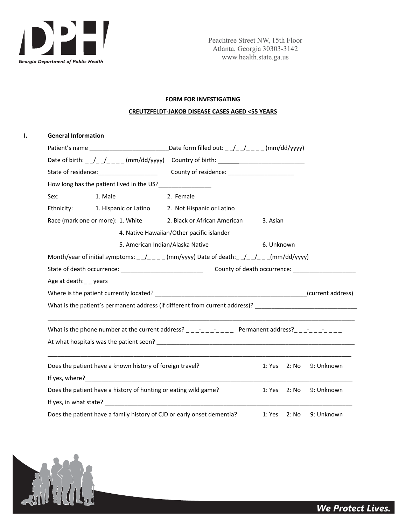

## **FORM FOR INVESTIGATING**

## **CREUTZFELDT‐JAKOB DISEASE CASES AGED <55 YEARS**

| ı. | <b>General Information</b>                                                                      |         |                                                          |                                                                              |          |                  |                         |  |  |
|----|-------------------------------------------------------------------------------------------------|---------|----------------------------------------------------------|------------------------------------------------------------------------------|----------|------------------|-------------------------|--|--|
|    |                                                                                                 |         |                                                          | Date form filled out: $\frac{1}{2}$ $\frac{1}{2}$ $\frac{1}{2}$ (mm/dd/yyyy) |          |                  |                         |  |  |
|    |                                                                                                 |         | Date of birth: $y = 1/2 - 1/2 - 1$ (mm/dd/yyyy)          |                                                                              |          |                  |                         |  |  |
|    | State of residence: State of residence:                                                         |         |                                                          | County of residence: _________________________                               |          |                  |                         |  |  |
|    | How long has the patient lived in the US?                                                       |         |                                                          |                                                                              |          |                  |                         |  |  |
|    | Sex:                                                                                            | 1. Male |                                                          | 2. Female                                                                    |          |                  |                         |  |  |
|    | Ethnicity:                                                                                      |         | 1. Hispanic or Latino                                    | 2. Not Hispanic or Latino                                                    |          |                  |                         |  |  |
|    |                                                                                                 |         |                                                          | Race (mark one or more): 1. White 2. Black or African American               | 3. Asian |                  |                         |  |  |
|    | 4. Native Hawaiian/Other pacific islander                                                       |         |                                                          |                                                                              |          |                  |                         |  |  |
|    | 5. American Indian/Alaska Native                                                                |         |                                                          | 6. Unknown                                                                   |          |                  |                         |  |  |
|    | Month/year of initial symptoms: _ _/_ _ _ _ (mm/yyyy) Date of death: _ _/_ _/_ _ _ (mm/dd/yyyy) |         |                                                          |                                                                              |          |                  |                         |  |  |
|    |                                                                                                 |         |                                                          |                                                                              |          |                  |                         |  |  |
|    | Age at death: _ years                                                                           |         |                                                          |                                                                              |          |                  |                         |  |  |
|    |                                                                                                 |         |                                                          |                                                                              |          |                  |                         |  |  |
|    |                                                                                                 |         |                                                          |                                                                              |          |                  |                         |  |  |
|    |                                                                                                 |         |                                                          |                                                                              |          |                  |                         |  |  |
|    |                                                                                                 |         |                                                          |                                                                              |          |                  |                         |  |  |
|    |                                                                                                 |         |                                                          |                                                                              |          |                  |                         |  |  |
|    |                                                                                                 |         |                                                          |                                                                              |          |                  |                         |  |  |
|    |                                                                                                 |         | Does the patient have a known history of foreign travel? |                                                                              | 1: Yes   | 2: No            | 9: Unknown              |  |  |
|    |                                                                                                 |         |                                                          |                                                                              |          |                  |                         |  |  |
|    |                                                                                                 |         |                                                          | Does the patient have a history of hunting or eating wild game?              |          | $1: Yes$ $2: No$ | 9: Unknown              |  |  |
|    |                                                                                                 |         |                                                          |                                                                              |          |                  |                         |  |  |
|    |                                                                                                 |         |                                                          | Does the patient have a family history of CJD or early onset dementia?       |          |                  | 1: Yes 2: No 9: Unknown |  |  |
|    |                                                                                                 |         |                                                          |                                                                              |          |                  |                         |  |  |

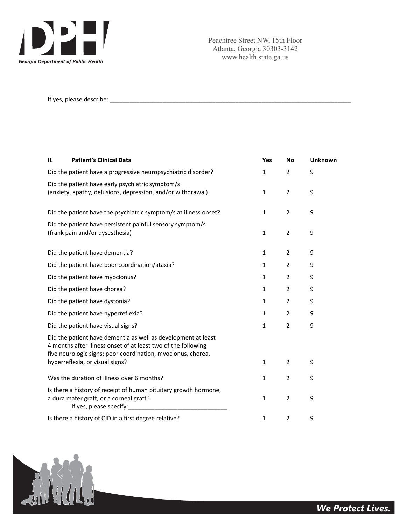

If yes, please describe: \_\_\_\_\_\_\_\_\_\_\_\_\_\_\_\_\_\_\_\_\_\_\_\_\_\_\_\_\_\_\_\_\_\_\_\_\_\_\_\_\_\_\_\_\_\_\_\_\_\_\_\_\_\_\_\_\_\_\_\_\_\_\_\_\_\_\_\_\_\_\_\_\_

| <b>Patient's Clinical Data</b><br>П.                                                                                                                                                                                              | Yes          | No             | <b>Unknown</b> |
|-----------------------------------------------------------------------------------------------------------------------------------------------------------------------------------------------------------------------------------|--------------|----------------|----------------|
| Did the patient have a progressive neuropsychiatric disorder?                                                                                                                                                                     | $\mathbf{1}$ | $\overline{2}$ | 9              |
| Did the patient have early psychiatric symptom/s<br>(anxiety, apathy, delusions, depression, and/or withdrawal)                                                                                                                   | 1            | $\overline{2}$ | 9              |
| Did the patient have the psychiatric symptom/s at illness onset?                                                                                                                                                                  | $\mathbf{1}$ | $\overline{2}$ | 9              |
| Did the patient have persistent painful sensory symptom/s<br>(frank pain and/or dysesthesia)                                                                                                                                      | 1            | 2              | 9              |
| Did the patient have dementia?                                                                                                                                                                                                    | $\mathbf{1}$ | 2              | 9              |
| Did the patient have poor coordination/ataxia?                                                                                                                                                                                    | 1            | $\overline{2}$ | 9              |
| Did the patient have myoclonus?                                                                                                                                                                                                   | $\mathbf{1}$ | $\overline{2}$ | 9              |
| Did the patient have chorea?                                                                                                                                                                                                      | 1            | 2              | 9              |
| Did the patient have dystonia?                                                                                                                                                                                                    | 1            | $\overline{2}$ | 9              |
| Did the patient have hyperreflexia?                                                                                                                                                                                               | 1            | $\overline{2}$ | 9              |
| Did the patient have visual signs?                                                                                                                                                                                                | 1            | $\overline{2}$ | 9              |
| Did the patient have dementia as well as development at least<br>4 months after illness onset of at least two of the following<br>five neurologic signs: poor coordination, myoclonus, chorea,<br>hyperreflexia, or visual signs? | 1            | $\overline{2}$ | 9              |
| Was the duration of illness over 6 months?                                                                                                                                                                                        | 1            | $\overline{2}$ | 9              |
| Is there a history of receipt of human pituitary growth hormone,<br>a dura mater graft, or a corneal graft?<br>If yes, please specify: 1999 and the set of yes, please specify:                                                   | 1            | $\overline{2}$ | 9              |
| Is there a history of CJD in a first degree relative?                                                                                                                                                                             | 1            | $\overline{2}$ | 9              |

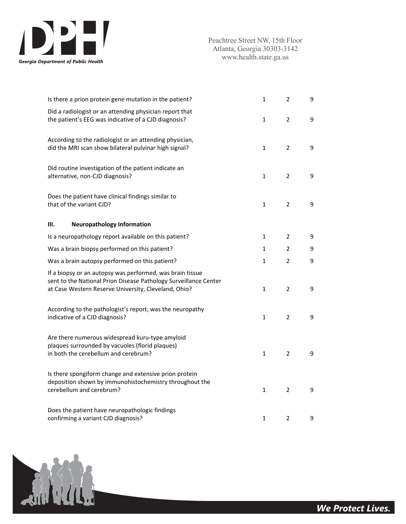

| Is there a prion protein gene mutation in the patient?                                                                                                                                | $\mathbf{1}$ | $\overline{2}$ | 9 |  |
|---------------------------------------------------------------------------------------------------------------------------------------------------------------------------------------|--------------|----------------|---|--|
| Did a radiologist or an attending physician report that<br>the patient's EEG was indicative of a CJD diagnosis?                                                                       | $\mathbf{1}$ | $\overline{2}$ | 9 |  |
| According to the radiologist or an attending physician,<br>did the MRI scan show bilateral pulvinar high signal?                                                                      | 1            | $\overline{2}$ | 9 |  |
| Did routine investigation of the patient indicate an<br>alternative, non-CJD diagnosis?                                                                                               | $\mathbf{1}$ | $\overline{2}$ | 9 |  |
| Does the patient have clinical findings similar to<br>that of the variant CJD?                                                                                                        | $\mathbf{1}$ | 2              | 9 |  |
| Ш.<br><b>Neuropathology Information</b>                                                                                                                                               |              |                |   |  |
| Is a neuropathology report available on this patient?                                                                                                                                 | 1            | 2              | 9 |  |
| Was a brain biopsy performed on this patient?                                                                                                                                         | 1            | $\overline{2}$ | 9 |  |
| Was a brain autopsy performed on this patient?                                                                                                                                        | 1            | $\overline{2}$ | 9 |  |
| If a biopsy or an autopsy was performed, was brain tissue<br>sent to the National Prion Disease Pathology Surveillance Center<br>at Case Western Reserve University, Cleveland, Ohio? | $\mathbf{1}$ | $\overline{2}$ | 9 |  |
| According to the pathologist's report, was the neuropathy<br>indicative of a CJD diagnosis?                                                                                           | $\mathbf{1}$ | $\overline{2}$ | 9 |  |
| Are there numerous widespread kuru-type amyloid<br>plaques surrounded by vacuoles (florid plaques)<br>in both the cerebellum and cerebrum?                                            | $\mathbf{1}$ | $\overline{2}$ | 9 |  |
| Is there spongiform change and extensive prion protein<br>deposition shown by immunohistochemistry throughout the<br>cerebellum and cerebrum?                                         | $\mathbf{1}$ | $\overline{2}$ | 9 |  |
| Does the patient have neuropathologic findings<br>confirming a variant CJD diagnosis?                                                                                                 | $\mathbf{1}$ | $\overline{2}$ | 9 |  |